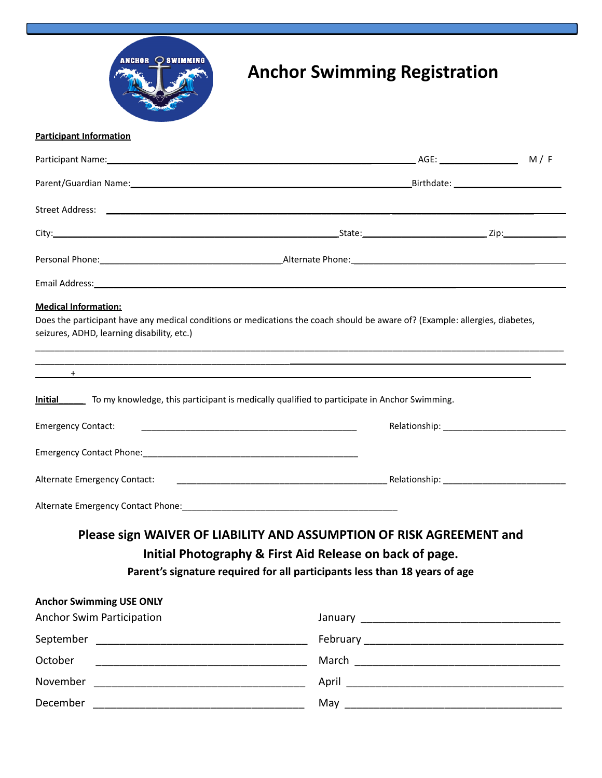

## **Anchor Swimming Registration**

## **Participant Information**

| Personal Phone: 2000 Contract Phone: 2000 Contract Phone: 2000 Contract Phone: 2000 Contract Phone: 2000 Contract Phone: 2000 Contract Phone: 2000 Contract Phone: 2000 Contract Phone: 2000 Contract Phone: 2000 Contract Pho                                                                                         |                                                                            |  |  |
|------------------------------------------------------------------------------------------------------------------------------------------------------------------------------------------------------------------------------------------------------------------------------------------------------------------------|----------------------------------------------------------------------------|--|--|
|                                                                                                                                                                                                                                                                                                                        |                                                                            |  |  |
| <b>Medical Information:</b><br>Does the participant have any medical conditions or medications the coach should be aware of? (Example: allergies, diabetes,<br>seizures, ADHD, learning disability, etc.)                                                                                                              |                                                                            |  |  |
| $\overline{a}$ , and $\overline{a}$ , and $\overline{a}$ , and $\overline{a}$ , and $\overline{a}$ , and $\overline{a}$ , and $\overline{a}$ , and $\overline{a}$ , and $\overline{a}$ , and $\overline{a}$ , and $\overline{a}$ , and $\overline{a}$ , and $\overline{a}$ , and $\overline{a}$ , and $\overline{a}$ , |                                                                            |  |  |
| <b>Emergency Contact:</b><br><u> 1989 - Johann Harry Harry Harry Harry Harry Harry Harry Harry Harry Harry Harry Harry Harry Harry Harry Harry</u>                                                                                                                                                                     |                                                                            |  |  |
|                                                                                                                                                                                                                                                                                                                        |                                                                            |  |  |
| Alternate Emergency Contact:                                                                                                                                                                                                                                                                                           |                                                                            |  |  |
|                                                                                                                                                                                                                                                                                                                        |                                                                            |  |  |
| Please sign WAIVER OF LIABILITY AND ASSUMPTION OF RISK AGREEMENT and                                                                                                                                                                                                                                                   |                                                                            |  |  |
|                                                                                                                                                                                                                                                                                                                        | Initial Photography & First Aid Release on back of page.                   |  |  |
|                                                                                                                                                                                                                                                                                                                        | Parent's signature required for all participants less than 18 years of age |  |  |
| <b>Anchor Swimming USE ONLY</b>                                                                                                                                                                                                                                                                                        |                                                                            |  |  |
| <b>Anchor Swim Participation</b>                                                                                                                                                                                                                                                                                       |                                                                            |  |  |
|                                                                                                                                                                                                                                                                                                                        |                                                                            |  |  |
| October                                                                                                                                                                                                                                                                                                                |                                                                            |  |  |
|                                                                                                                                                                                                                                                                                                                        |                                                                            |  |  |
|                                                                                                                                                                                                                                                                                                                        |                                                                            |  |  |